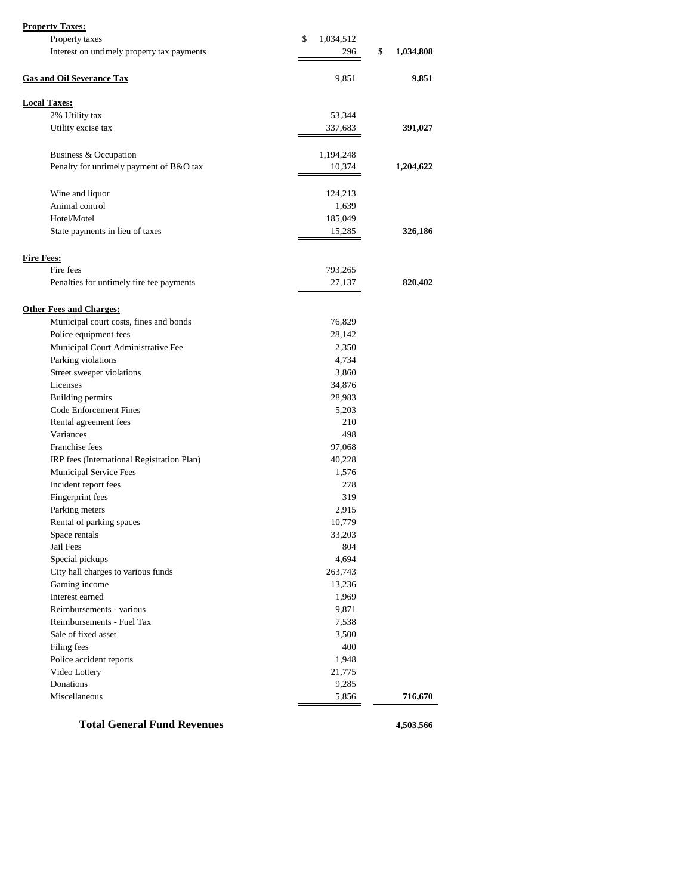| <b>Property Taxes:</b>                     |                 |                 |
|--------------------------------------------|-----------------|-----------------|
| Property taxes                             | \$<br>1,034,512 |                 |
| Interest on untimely property tax payments | 296             | \$<br>1,034,808 |
|                                            |                 |                 |
| <b>Gas and Oil Severance Tax</b>           | 9,851           | 9,851           |
| <b>Local Taxes:</b>                        |                 |                 |
| 2% Utility tax                             | 53,344          |                 |
| Utility excise tax                         | 337,683         | 391,027         |
|                                            |                 |                 |
| Business & Occupation                      | 1,194,248       |                 |
| Penalty for untimely payment of B&O tax    | 10,374          | 1,204,622       |
|                                            |                 |                 |
| Wine and liquor                            | 124,213         |                 |
| Animal control                             | 1,639           |                 |
| Hotel/Motel                                | 185,049         |                 |
| State payments in lieu of taxes            | 15,285          | 326,186         |
|                                            |                 |                 |
| <b>Fire Fees:</b>                          |                 |                 |
| Fire fees                                  | 793,265         |                 |
| Penalties for untimely fire fee payments   | 27,137          | 820,402         |
|                                            |                 |                 |
| <b>Other Fees and Charges:</b>             |                 |                 |
| Municipal court costs, fines and bonds     | 76,829          |                 |
| Police equipment fees                      | 28,142          |                 |
| Municipal Court Administrative Fee         | 2,350           |                 |
| Parking violations                         | 4,734           |                 |
| Street sweeper violations                  | 3,860           |                 |
| Licenses                                   | 34,876          |                 |
| Building permits                           | 28,983          |                 |
| Code Enforcement Fines                     | 5,203           |                 |
| Rental agreement fees                      | 210             |                 |
| Variances                                  | 498             |                 |
| Franchise fees                             | 97,068          |                 |
| IRP fees (International Registration Plan) | 40,228          |                 |
| Municipal Service Fees                     | 1,576           |                 |
| Incident report fees                       | 278             |                 |
| Fingerprint fees                           | 319             |                 |
| Parking meters                             | 2,915           |                 |
| Rental of parking spaces                   | 10,779          |                 |
| Space rentals                              | 33,203          |                 |
| Jail Fees                                  | 804             |                 |
| Special pickups                            | 4,694           |                 |
| City hall charges to various funds         | 263,743         |                 |
| Gaming income                              | 13,236          |                 |
| Interest earned                            | 1,969           |                 |
| Reimbursements - various                   | 9,871           |                 |
| Reimbursements - Fuel Tax                  | 7,538           |                 |
| Sale of fixed asset                        | 3,500           |                 |
| Filing fees                                | 400             |                 |
| Police accident reports                    | 1,948           |                 |
| Video Lottery                              | 21,775          |                 |
| Donations                                  | 9,285           |                 |
| Miscellaneous                              | 5,856           | 716,670         |
|                                            |                 |                 |
| <b>Total General Fund Revenues</b>         |                 | 4,503,566       |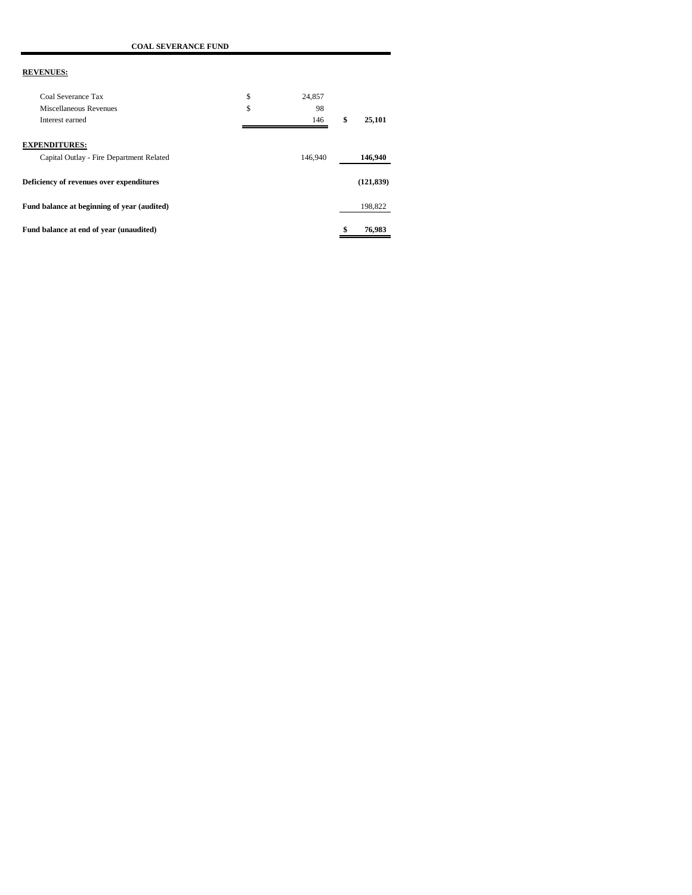| <b>REVENUES:</b>                                                 |              |              |
|------------------------------------------------------------------|--------------|--------------|
| Coal Severance Tax                                               | \$<br>24,857 |              |
| Miscellaneous Revenues                                           | \$<br>98     |              |
| Interest earned                                                  | 146          | \$<br>25,101 |
| <b>EXPENDITURES:</b><br>Capital Outlay - Fire Department Related | 146,940      | 146,940      |
| Deficiency of revenues over expenditures                         |              | (121, 839)   |
| Fund balance at beginning of year (audited)                      |              | 198,822      |
| Fund balance at end of year (unaudited)                          |              | 76,983       |

 **COAL SEVERANCE FUND**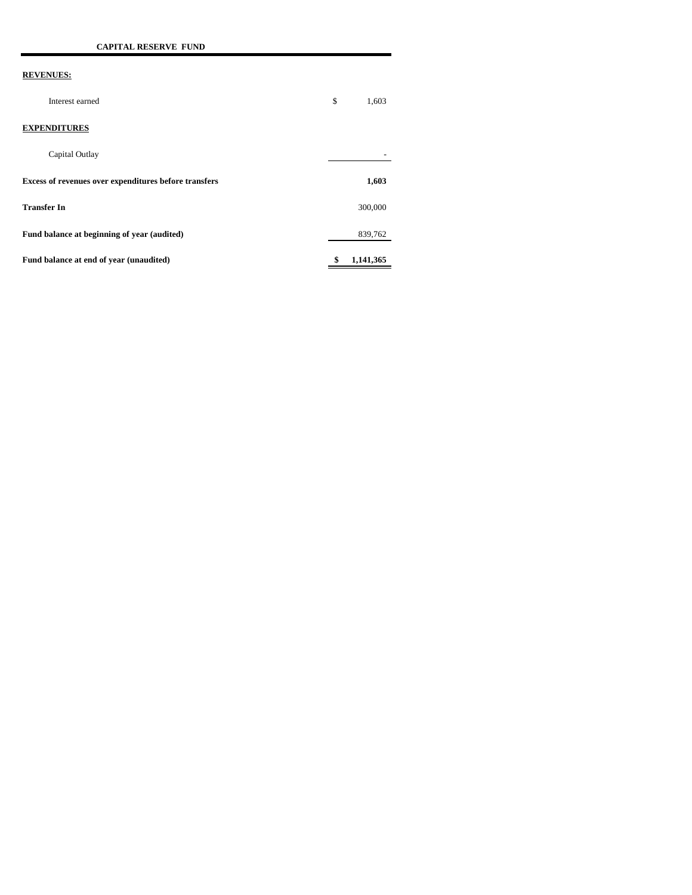| Interest earned                                              | \$<br>1,603     |
|--------------------------------------------------------------|-----------------|
| <b>EXPENDITURES</b>                                          |                 |
| Capital Outlay                                               |                 |
| <b>Excess of revenues over expenditures before transfers</b> | 1,603           |
| <b>Transfer In</b>                                           | 300,000         |
| Fund balance at beginning of year (audited)                  | 839,762         |
| Fund balance at end of year (unaudited)                      | \$<br>1,141,365 |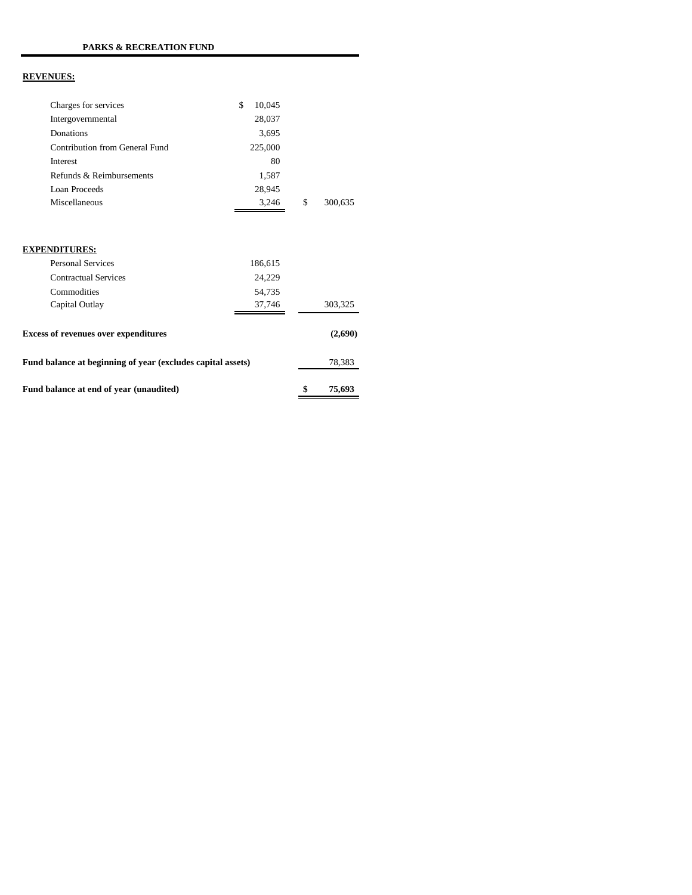| Charges for services                                        | \$<br>10,045 |               |
|-------------------------------------------------------------|--------------|---------------|
| Intergovernmental                                           | 28,037       |               |
| Donations                                                   | 3,695        |               |
| Contribution from General Fund                              | 225,000      |               |
| Interest                                                    | 80           |               |
| Refunds & Reimbursements                                    | 1,587        |               |
| Loan Proceeds                                               | 28,945       |               |
| Miscellaneous                                               | 3,246        | \$<br>300,635 |
|                                                             |              |               |
| <b>EXPENDITURES:</b>                                        |              |               |
| <b>Personal Services</b>                                    | 186,615      |               |
| <b>Contractual Services</b>                                 | 24,229       |               |
| Commodities                                                 | 54,735       |               |
| Capital Outlay                                              | 37,746       | 303,325       |
| <b>Excess of revenues over expenditures</b>                 |              | (2,690)       |
| Fund balance at beginning of year (excludes capital assets) |              | 78,383        |
| Fund balance at end of year (unaudited)                     |              | \$<br>75,693  |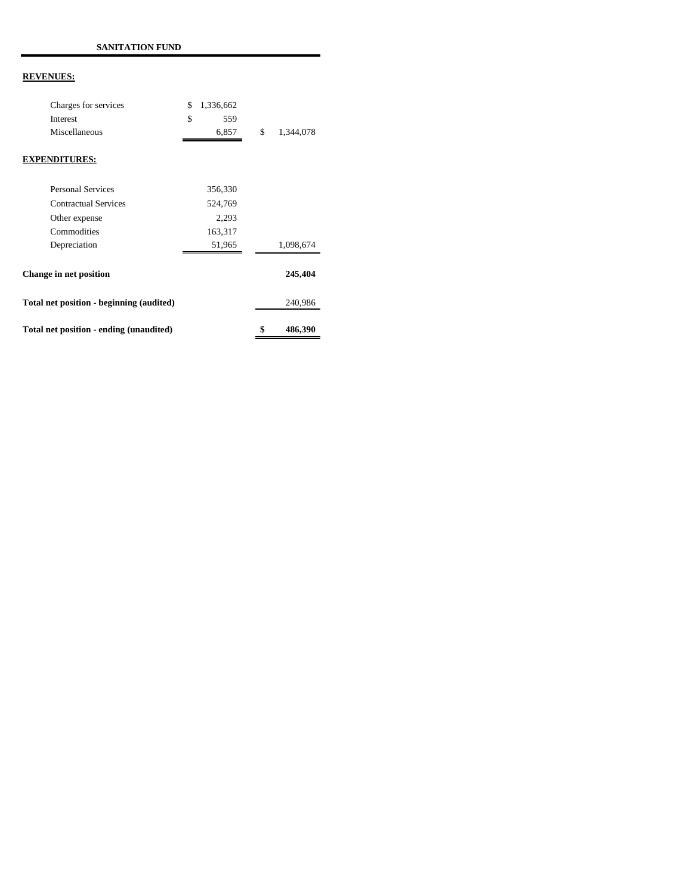| Total net position - ending (unaudited)  |                 | \$<br>486,390   |
|------------------------------------------|-----------------|-----------------|
| Total net position - beginning (audited) |                 | 240,986         |
| Change in net position                   |                 | 245,404         |
| Depreciation                             | 51,965          | 1,098,674       |
| Commodities                              | 163,317         |                 |
| Other expense                            | 2,293           |                 |
| <b>Contractual Services</b>              | 524,769         |                 |
| Personal Services                        | 356,330         |                 |
| <b>EXPENDITURES:</b>                     |                 |                 |
| Miscellaneous                            | 6,857           | \$<br>1,344,078 |
| Interest                                 | \$<br>559       |                 |
| Charges for services                     | \$<br>1,336,662 |                 |
|                                          |                 |                 |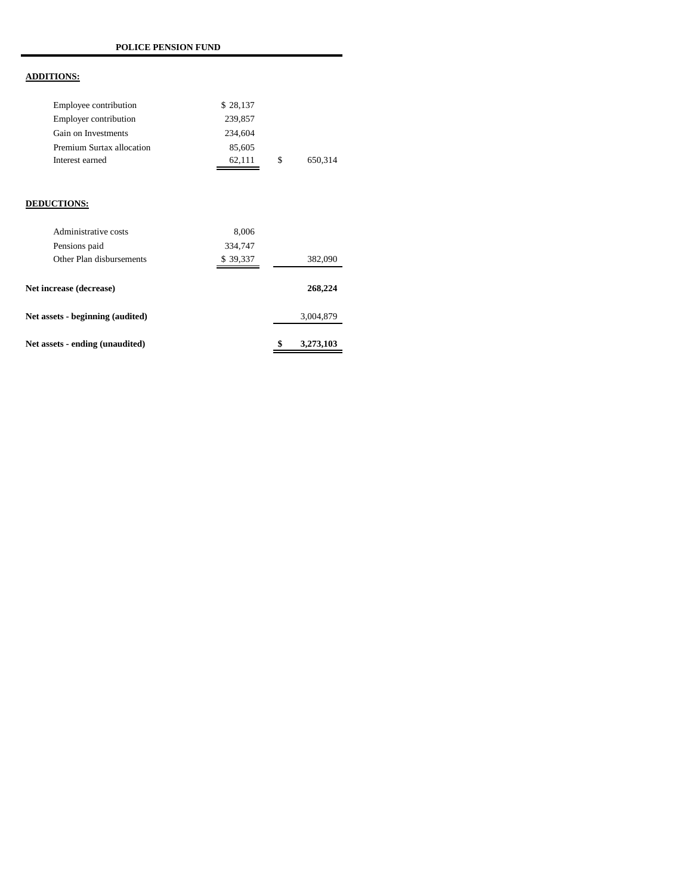## **ADDITIONS:**

| Employee contribution     | \$28,137 |     |         |
|---------------------------|----------|-----|---------|
| Employer contribution     | 239,857  |     |         |
| Gain on Investments       | 234,604  |     |         |
| Premium Surtax allocation | 85,605   |     |         |
| Interest earned           | 62.111   | \$. | 650.314 |

## **DEDUCTIONS:**

| Net assets - ending (unaudited)  |          | \$<br>3,273,103 |
|----------------------------------|----------|-----------------|
| Net assets - beginning (audited) |          | 3,004,879       |
| Net increase (decrease)          |          | 268,224         |
| Other Plan disbursements         | \$39,337 | 382,090         |
| Pensions paid                    | 334,747  |                 |
| Administrative costs             | 8,006    |                 |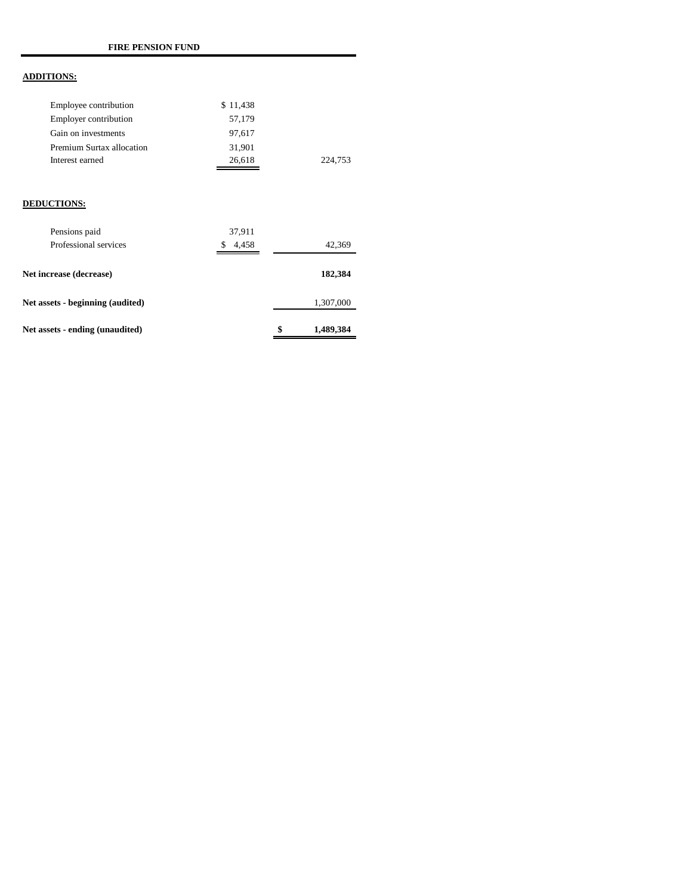## **ADDITIONS:**

| Employee contribution     | \$11,438 |         |
|---------------------------|----------|---------|
| Employer contribution     | 57.179   |         |
| Gain on investments       | 97.617   |         |
| Premium Surtax allocation | 31.901   |         |
| Interest earned           | 26,618   | 224.753 |

#### **DEDUCTIONS:**

| Pensions paid                    | 37,911     |                 |
|----------------------------------|------------|-----------------|
| Professional services            | 4.458<br>S | 42,369          |
| Net increase (decrease)          |            | 182,384         |
| Net assets - beginning (audited) |            | 1,307,000       |
| Net assets - ending (unaudited)  |            | \$<br>1,489,384 |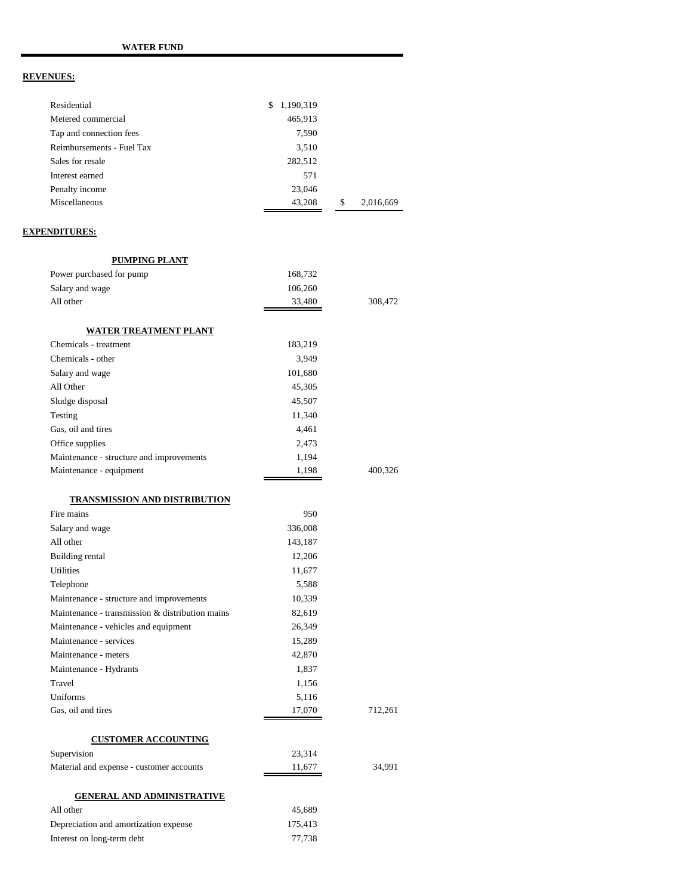| Residential               | 1,190,319<br>\$ |                 |
|---------------------------|-----------------|-----------------|
| Metered commercial        | 465,913         |                 |
| Tap and connection fees   | 7,590           |                 |
| Reimbursements - Fuel Tax | 3,510           |                 |
| Sales for resale          | 282,512         |                 |
| Interest earned           | 571             |                 |
| Penalty income            | 23,046          |                 |
| Miscellaneous             | 43,208          | \$<br>2,016,669 |

### **EXPENDITURES:**

| <b>PUMPING PLANT</b>                            |         |         |
|-------------------------------------------------|---------|---------|
| Power purchased for pump                        | 168,732 |         |
| Salary and wage                                 | 106,260 |         |
| All other                                       | 33,480  | 308,472 |
|                                                 |         |         |
| <u>WATER TREATMENT PLANT</u>                    |         |         |
| Chemicals - treatment                           | 183,219 |         |
| Chemicals - other                               | 3,949   |         |
| Salary and wage                                 | 101,680 |         |
| All Other                                       | 45,305  |         |
| Sludge disposal                                 | 45,507  |         |
| Testing                                         | 11,340  |         |
| Gas, oil and tires                              | 4,461   |         |
| Office supplies                                 | 2,473   |         |
| Maintenance - structure and improvements        | 1,194   |         |
| Maintenance - equipment                         | 1,198   | 400,326 |
|                                                 |         |         |
| <b>TRANSMISSION AND DISTRIBUTION</b>            |         |         |
| Fire mains                                      | 950     |         |
| Salary and wage                                 | 336,008 |         |
| All other                                       | 143,187 |         |
| Building rental                                 | 12,206  |         |
| <b>Utilities</b>                                | 11,677  |         |
| Telephone                                       | 5,588   |         |
| Maintenance - structure and improvements        | 10,339  |         |
| Maintenance - transmission & distribution mains | 82,619  |         |
| Maintenance - vehicles and equipment            | 26,349  |         |
| Maintenance - services                          | 15,289  |         |
| Maintenance - meters                            | 42,870  |         |
| Maintenance - Hydrants                          | 1,837   |         |
| Travel                                          | 1,156   |         |
| Uniforms                                        | 5,116   |         |
| Gas, oil and tires                              | 17,070  | 712,261 |
|                                                 |         |         |
| <b>CUSTOMER ACCOUNTING</b>                      |         |         |
| Supervision                                     | 23,314  |         |
| Material and expense - customer accounts        | 11,677  | 34,991  |
|                                                 |         |         |
| <b>GENERAL AND ADMINISTRATIVE</b>               |         |         |
| All other                                       | 45,689  |         |
| Depreciation and amortization expense           | 175,413 |         |
| Interest on long-term debt                      | 77,738  |         |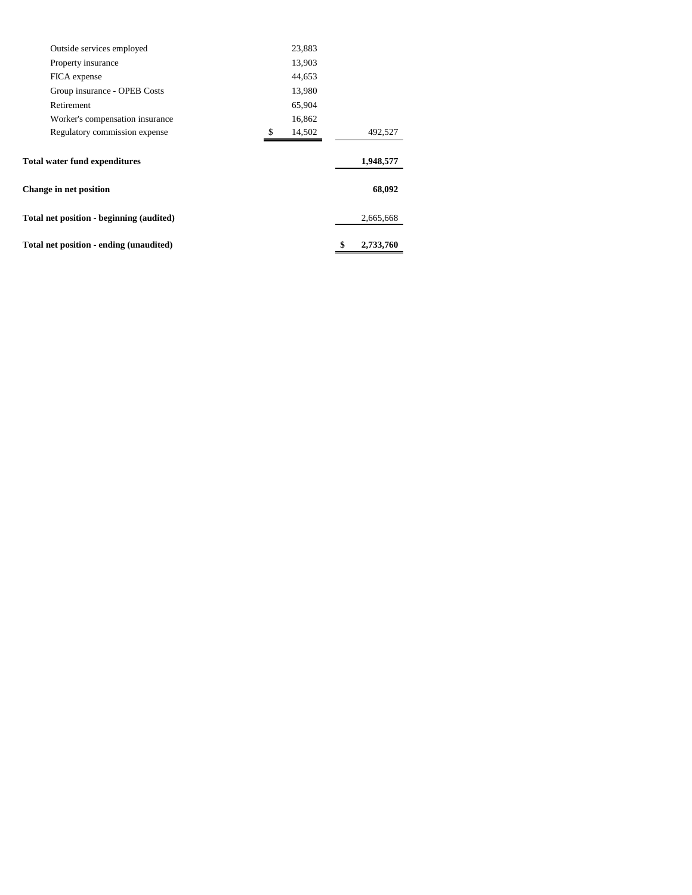| Total net position - ending (unaudited)  |               | \$<br>2,733,760 |
|------------------------------------------|---------------|-----------------|
| Total net position - beginning (audited) |               | 2,665,668       |
| <b>Change in net position</b>            |               | 68,092          |
| <b>Total water fund expenditures</b>     |               | 1,948,577       |
| Regulatory commission expense            | 14,502<br>\$. | 492,527         |
| Worker's compensation insurance          | 16,862        |                 |
| Retirement                               | 65,904        |                 |
| Group insurance - OPEB Costs             | 13,980        |                 |
| FICA expense                             | 44,653        |                 |
| Property insurance                       | 13,903        |                 |
| Outside services employed                | 23,883        |                 |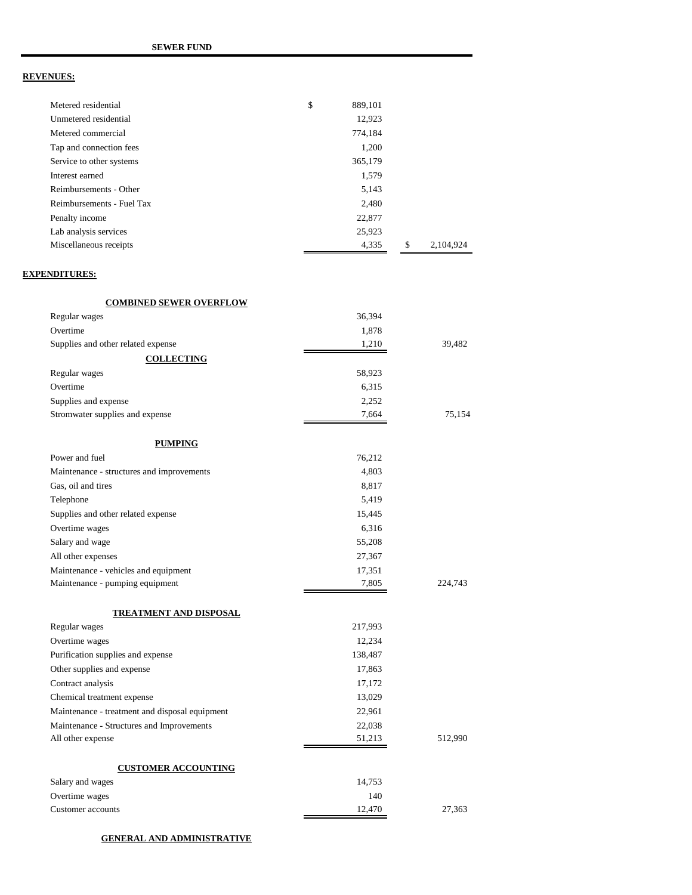| Metered residential       | \$<br>889,101 |                 |
|---------------------------|---------------|-----------------|
| Unmetered residential     | 12,923        |                 |
| Metered commercial        | 774,184       |                 |
| Tap and connection fees   | 1,200         |                 |
| Service to other systems  | 365,179       |                 |
| Interest earned           | 1,579         |                 |
| Reimbursements - Other    | 5,143         |                 |
| Reimbursements - Fuel Tax | 2.480         |                 |
| Penalty income            | 22,877        |                 |
| Lab analysis services     | 25,923        |                 |
| Miscellaneous receipts    | 4,335         | \$<br>2.104.924 |

#### **EXPENDITURES:**

| <b>COMBINED SEWER OVERFLOW</b>                 |         |         |
|------------------------------------------------|---------|---------|
| Regular wages                                  | 36,394  |         |
| Overtime                                       | 1,878   |         |
| Supplies and other related expense             | 1,210   | 39,482  |
| <b>COLLECTING</b>                              |         |         |
| Regular wages                                  | 58,923  |         |
| Overtime                                       | 6,315   |         |
| Supplies and expense                           | 2,252   |         |
| Stromwater supplies and expense                | 7,664   | 75,154  |
| <b>PUMPING</b>                                 |         |         |
| Power and fuel                                 | 76,212  |         |
| Maintenance - structures and improvements      | 4,803   |         |
| Gas, oil and tires                             | 8,817   |         |
| Telephone                                      | 5,419   |         |
| Supplies and other related expense             | 15,445  |         |
| Overtime wages                                 | 6,316   |         |
| Salary and wage                                | 55,208  |         |
| All other expenses                             | 27,367  |         |
| Maintenance - vehicles and equipment           | 17,351  |         |
| Maintenance - pumping equipment                | 7,805   | 224,743 |
| <b>TREATMENT AND DISPOSAL</b>                  |         |         |
| Regular wages                                  | 217,993 |         |
| Overtime wages                                 | 12,234  |         |
| Purification supplies and expense              | 138,487 |         |
| Other supplies and expense                     | 17,863  |         |
| Contract analysis                              | 17,172  |         |
| Chemical treatment expense                     | 13,029  |         |
| Maintenance - treatment and disposal equipment | 22,961  |         |
| Maintenance - Structures and Improvements      | 22,038  |         |
| All other expense                              | 51,213  | 512,990 |
| <b>CUSTOMER ACCOUNTING</b>                     |         |         |
| Salary and wages                               | 14,753  |         |
| Overtime wages                                 | 140     |         |
| Customer accounts                              | 12,470  | 27,363  |

#### **GENERAL AND ADMINISTRATIVE**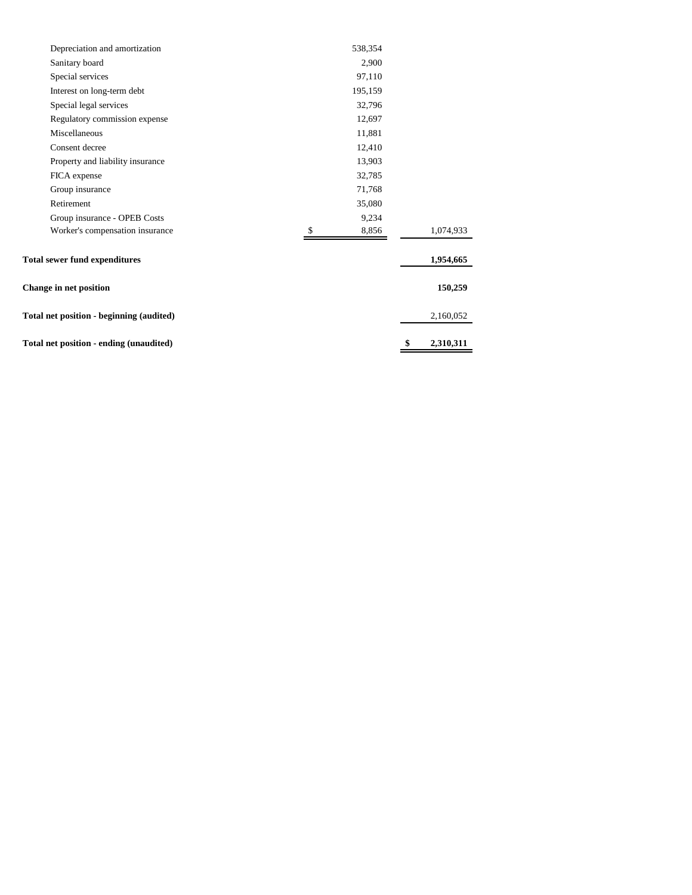| Total net position - ending (unaudited)  |         | \$<br>2,310,311 |
|------------------------------------------|---------|-----------------|
| Total net position - beginning (audited) |         | 2,160,052       |
| <b>Change in net position</b>            |         | 150,259         |
| <b>Total sewer fund expenditures</b>     |         | 1,954,665       |
| Worker's compensation insurance          | 8,856   | 1,074,933       |
| Group insurance - OPEB Costs             | 9,234   |                 |
| Retirement                               | 35,080  |                 |
| Group insurance                          | 71,768  |                 |
| FICA expense                             | 32,785  |                 |
| Property and liability insurance         | 13,903  |                 |
| Consent decree                           | 12,410  |                 |
| Miscellaneous                            | 11,881  |                 |
| Regulatory commission expense            | 12,697  |                 |
| Special legal services                   | 32,796  |                 |
| Interest on long-term debt               | 195,159 |                 |
| Special services                         | 97,110  |                 |
| Sanitary board                           | 2,900   |                 |
| Depreciation and amortization            | 538,354 |                 |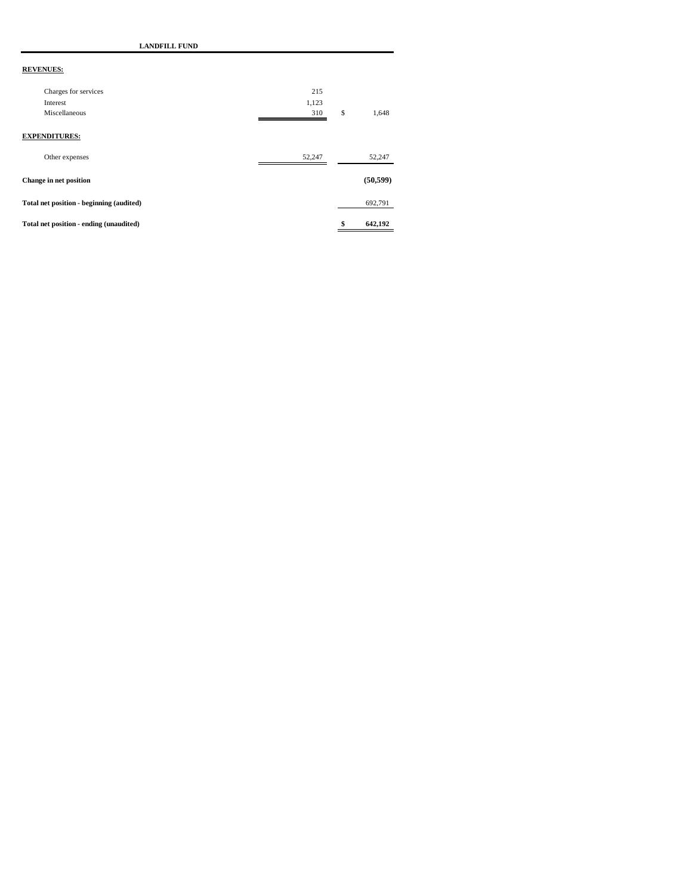| <b>LANDFILL FUND</b>                     |        |               |
|------------------------------------------|--------|---------------|
| <b>REVENUES:</b>                         |        |               |
| Charges for services                     | 215    |               |
| Interest                                 | 1,123  |               |
| Miscellaneous                            | 310    | \$<br>1,648   |
| <b>EXPENDITURES:</b><br>Other expenses   | 52,247 | 52,247        |
| Change in net position                   |        | (50, 599)     |
| Total net position - beginning (audited) |        | 692,791       |
| Total net position - ending (unaudited)  |        | \$<br>642,192 |